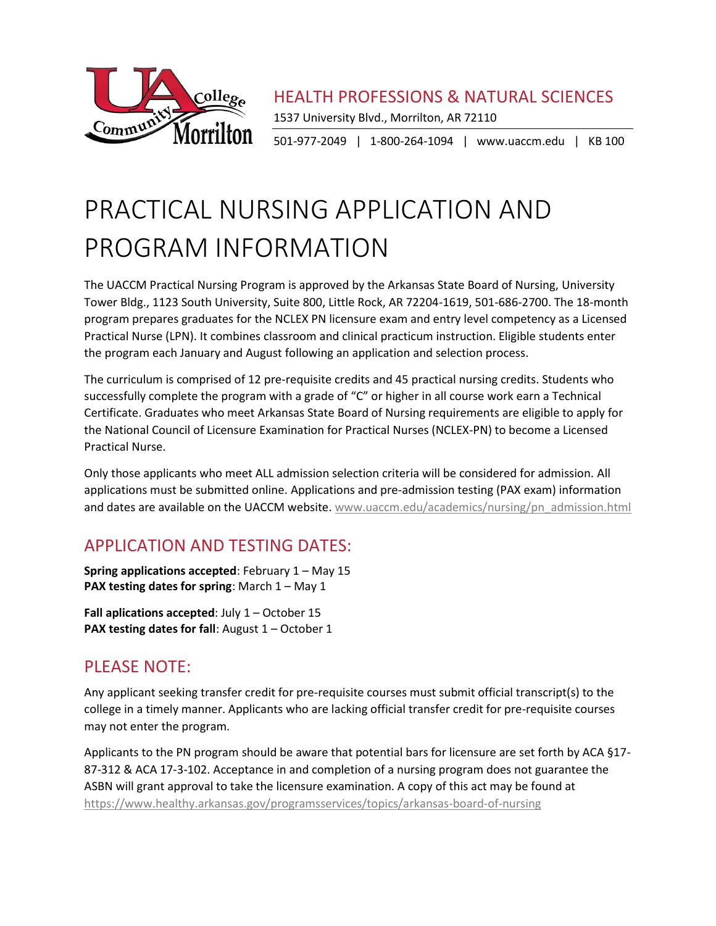

HEALTH PROFESSIONS & NATURAL SCIENCES

1537 University Blvd., Morrilton, AR 72110

501-977-2049 | 1-800-264-1094 | www.uaccm.edu | KB 100

# PRACTICAL NURSING APPLICATION AND PROGRAM INFORMATION

The UACCM Practical Nursing Program is approved by the Arkansas State Board of Nursing, University Tower Bldg., 1123 South University, Suite 800, Little Rock, AR 72204-1619, 501-686-2700. The 18-month program prepares graduates for the NCLEX PN licensure exam and entry level competency as a Licensed Practical Nurse (LPN). It combines classroom and clinical practicum instruction. Eligible students enter the program each January and August following an application and selection process.

The curriculum is comprised of 12 pre-requisite credits and 45 practical nursing credits. Students who successfully complete the program with a grade of "C" or higher in all course work earn a Technical Certificate. Graduates who meet Arkansas State Board of Nursing requirements are eligible to apply for the National Council of Licensure Examination for Practical Nurses (NCLEX-PN) to become a Licensed Practical Nurse.

Only those applicants who meet ALL admission selection criteria will be considered for admission. All applications must be submitted online. Applications and pre-admission testing (PAX exam) information and dates are available on the UACCM website. [www.uaccm.edu/academics/nursing/pn\\_admission.html](http://www.uaccm.edu/academics/nursing/pn_admission.html)

# APPLICATION AND TESTING DATES:

**Spring applications accepted**: February 1 – May 15 **PAX testing dates for spring**: March 1 – May 1

**Fall aplications accepted**: July 1 – October 15 **PAX testing dates for fall:** August 1 – October 1

# PLEASE NOTE:

Any applicant seeking transfer credit for pre-requisite courses must submit official transcript(s) to the college in a timely manner. Applicants who are lacking official transfer credit for pre-requisite courses may not enter the program.

Applicants to the PN program should be aware that potential bars for licensure are set forth by ACA §17- 87-312 & ACA 17-3-102. Acceptance in and completion of a nursing program does not guarantee the ASBN will grant approval to take the licensure examination. A copy of this act may be found at <https://www.healthy.arkansas.gov/programsservices/topics/arkansas-board-of-nursing>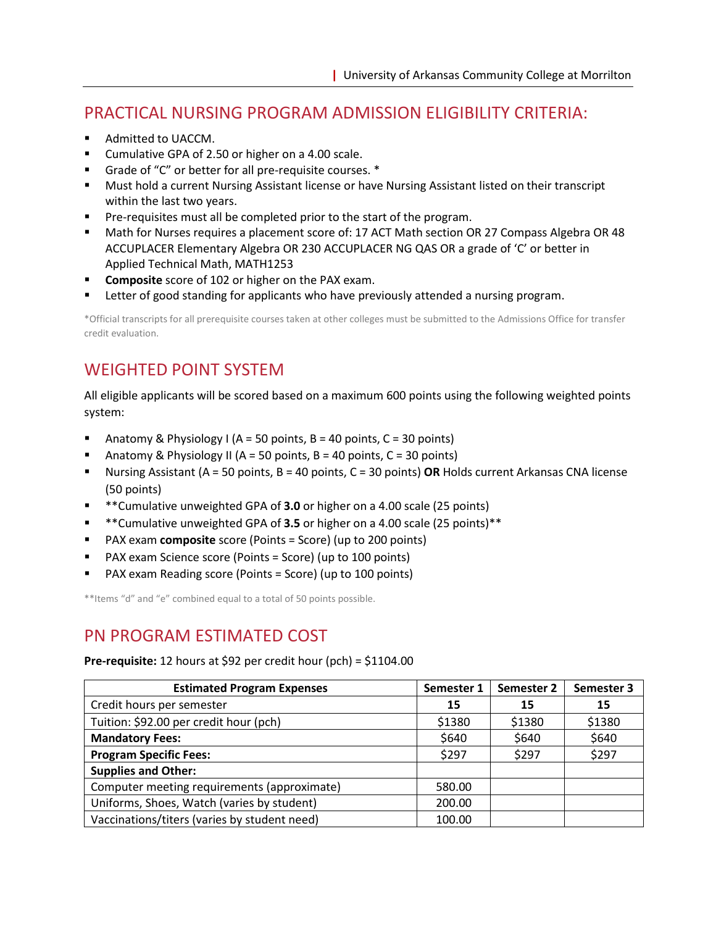# PRACTICAL NURSING PROGRAM ADMISSION ELIGIBILITY CRITERIA:

- Admitted to UACCM.
- Cumulative GPA of 2.50 or higher on a 4.00 scale.
- Grade of "C" or better for all pre-requisite courses.  $*$
- Must hold a current Nursing Assistant license or have Nursing Assistant listed on their transcript within the last two years.
- Pre-requisites must all be completed prior to the start of the program.
- Math for Nurses requires a placement score of: 17 ACT Math section OR 27 Compass Algebra OR 48 ACCUPLACER Elementary Algebra OR 230 ACCUPLACER NG QAS OR a grade of 'C' or better in Applied Technical Math, MATH1253
- **Composite** score of 102 or higher on the PAX exam.
- Letter of good standing for applicants who have previously attended a nursing program.

\*Official transcripts for all prerequisite courses taken at other colleges must be submitted to the Admissions Office for transfer credit evaluation.

# WEIGHTED POINT SYSTEM

All eligible applicants will be scored based on a maximum 600 points using the following weighted points system:

- Anatomy & Physiology I (A = 50 points, B = 40 points, C = 30 points)
- **E** Anatomy & Physiology II (A = 50 points, B = 40 points, C = 30 points)
- Nursing Assistant (A = 50 points, B = 40 points, C = 30 points) **OR** Holds current Arkansas CNA license (50 points)
- **\*\*Cumulative unweighted GPA of 3.0** or higher on a 4.00 scale (25 points)
- \*\*Cumulative unweighted GPA of **3.5** or higher on a 4.00 scale (25 points)\*\*
- PAX exam **composite** score (Points = Score) (up to 200 points)
- PAX exam Science score (Points = Score) (up to 100 points)
- PAX exam Reading score (Points = Score) (up to 100 points)

\*\*Items "d" and "e" combined equal to a total of 50 points possible.

## PN PROGRAM ESTIMATED COST

**Pre-requisite:** 12 hours at \$92 per credit hour (pch) = \$1104.00

| <b>Estimated Program Expenses</b>            | Semester 1 | Semester 2 | Semester 3 |
|----------------------------------------------|------------|------------|------------|
| Credit hours per semester                    | 15         | 15         | 15         |
| Tuition: \$92.00 per credit hour (pch)       | \$1380     | \$1380     | \$1380     |
| <b>Mandatory Fees:</b>                       | \$640      | \$640      | \$640      |
| <b>Program Specific Fees:</b>                | \$297      | \$297      | \$297      |
| <b>Supplies and Other:</b>                   |            |            |            |
| Computer meeting requirements (approximate)  | 580.00     |            |            |
| Uniforms, Shoes, Watch (varies by student)   | 200.00     |            |            |
| Vaccinations/titers (varies by student need) | 100.00     |            |            |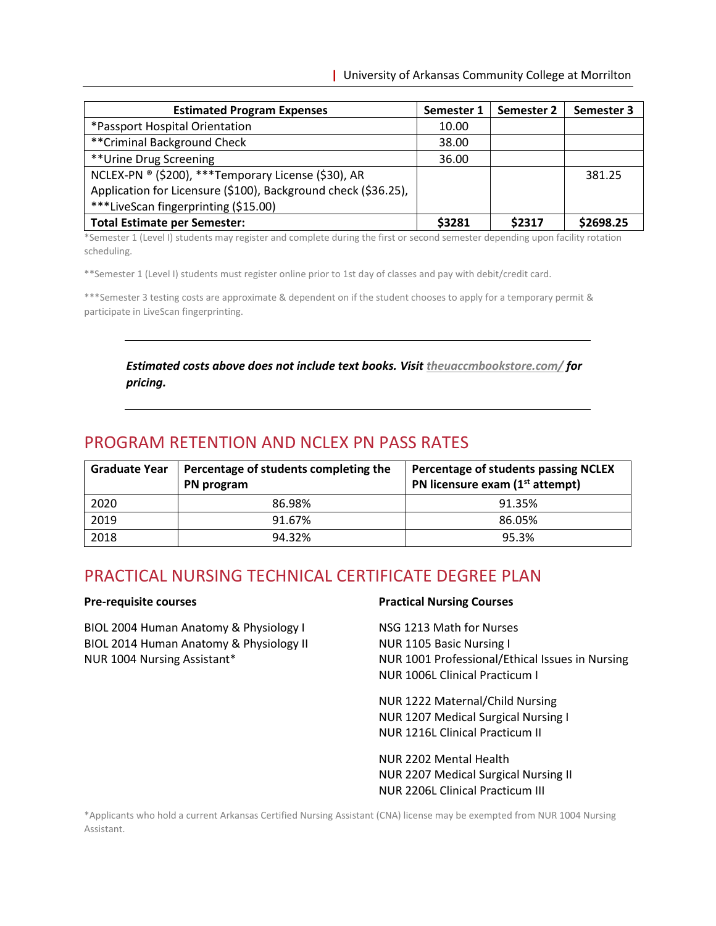| <b>Estimated Program Expenses</b>                              | Semester 1 | Semester 2 | Semester 3 |
|----------------------------------------------------------------|------------|------------|------------|
| *Passport Hospital Orientation                                 | 10.00      |            |            |
| ** Criminal Background Check                                   | 38.00      |            |            |
| **Urine Drug Screening                                         | 36.00      |            |            |
| NCLEX-PN ® (\$200), *** Temporary License (\$30), AR           |            |            | 381.25     |
| Application for Licensure (\$100), Background check (\$36.25), |            |            |            |
| ***LiveScan fingerprinting (\$15.00)                           |            |            |            |
| <b>Total Estimate per Semester:</b>                            | \$3281     | \$2317     | \$2698.25  |

\*Semester 1 (Level I) students may register and complete during the first or second semester depending upon facility rotation scheduling.

\*\*Semester 1 (Level I) students must register online prior to 1st day of classes and pay with debit/credit card.

\*\*\*Semester 3 testing costs are approximate & dependent on if the student chooses to apply for a temporary permit & participate in LiveScan fingerprinting.

### *Estimated costs above does not include text books. Visi[t theuaccmbookstore.com/](https://theuaccmbookstore.com/) for pricing.*

## PROGRAM RETENTION AND NCLEX PN PASS RATES

| Graduate Year | Percentage of students completing the<br>PN program | Percentage of students passing NCLEX<br>PN licensure exam $(1st$ attempt) |
|---------------|-----------------------------------------------------|---------------------------------------------------------------------------|
| 2020          | 86.98%                                              | 91.35%                                                                    |
| 2019          | 91.67%                                              | 86.05%                                                                    |
| 2018          | 94.32%                                              | 95.3%                                                                     |

## PRACTICAL NURSING TECHNICAL CERTIFICATE DEGREE PLAN

#### **Pre-requisite courses**

BIOL 2004 Human Anatomy & Physiology I BIOL 2014 Human Anatomy & Physiology II NUR 1004 Nursing Assistant\*

#### **Practical Nursing Courses**

NSG 1213 Math for Nurses NUR 1105 Basic Nursing I NUR 1001 Professional/Ethical Issues in Nursing NUR 1006L Clinical Practicum I

NUR 1222 Maternal/Child Nursing NUR 1207 Medical Surgical Nursing I NUR 1216L Clinical Practicum II

NUR 2202 Mental Health NUR 2207 Medical Surgical Nursing II NUR 2206L Clinical Practicum III

\*Applicants who hold a current Arkansas Certified Nursing Assistant (CNA) license may be exempted from NUR 1004 Nursing Assistant.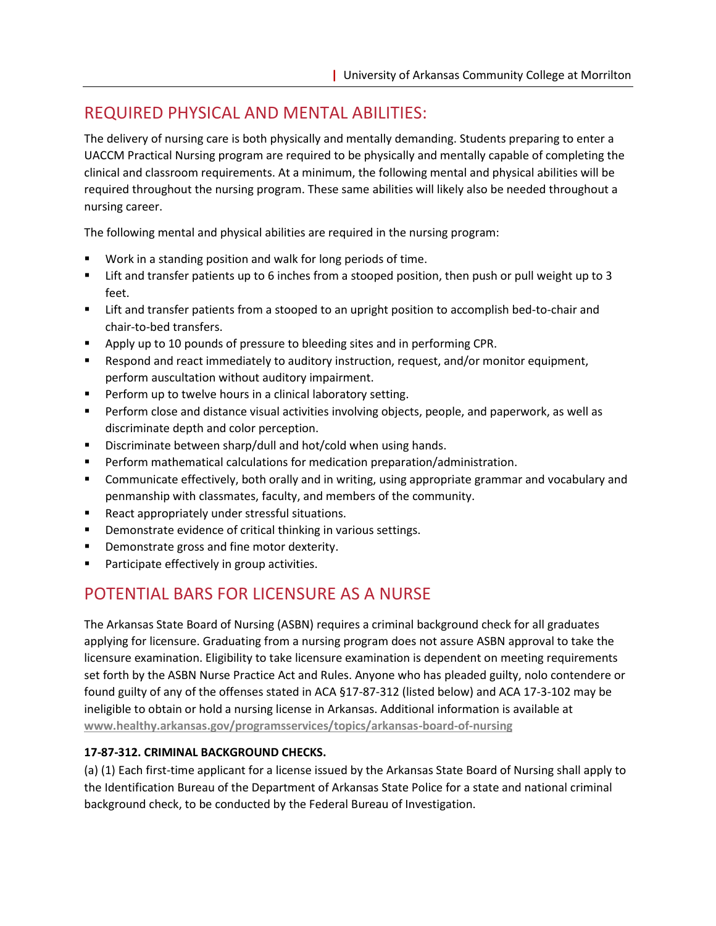# REQUIRED PHYSICAL AND MENTAL ABILITIES:

The delivery of nursing care is both physically and mentally demanding. Students preparing to enter a UACCM Practical Nursing program are required to be physically and mentally capable of completing the clinical and classroom requirements. At a minimum, the following mental and physical abilities will be required throughout the nursing program. These same abilities will likely also be needed throughout a nursing career.

The following mental and physical abilities are required in the nursing program:

- Work in a standing position and walk for long periods of time.
- Lift and transfer patients up to 6 inches from a stooped position, then push or pull weight up to 3 feet.
- **EXECT** Lift and transfer patients from a stooped to an upright position to accomplish bed-to-chair and chair-to-bed transfers.
- **•** Apply up to 10 pounds of pressure to bleeding sites and in performing CPR.
- Respond and react immediately to auditory instruction, request, and/or monitor equipment, perform auscultation without auditory impairment.
- Perform up to twelve hours in a clinical laboratory setting.
- **•** Perform close and distance visual activities involving objects, people, and paperwork, as well as discriminate depth and color perception.
- Discriminate between sharp/dull and hot/cold when using hands.
- Perform mathematical calculations for medication preparation/administration.
- Communicate effectively, both orally and in writing, using appropriate grammar and vocabulary and penmanship with classmates, faculty, and members of the community.
- React appropriately under stressful situations.
- Demonstrate evidence of critical thinking in various settings.
- Demonstrate gross and fine motor dexterity.
- Participate effectively in group activities.

# POTENTIAL BARS FOR LICENSURE AS A NURSE

The Arkansas State Board of Nursing (ASBN) requires a criminal background check for all graduates applying for licensure. Graduating from a nursing program does not assure ASBN approval to take the licensure examination. Eligibility to take licensure examination is dependent on meeting requirements set forth by the ASBN Nurse Practice Act and Rules. Anyone who has pleaded guilty, nolo contendere or found guilty of any of the offenses stated in ACA §17-87-312 (listed below) and ACA 17-3-102 may be ineligible to obtain or hold a nursing license in Arkansas. Additional information is available at **[www.healthy.arkansas.gov/programsservices/topics/arkansas-board-of-nursing](https://www.healthy.arkansas.gov/programsservices/topics/arkansas-board-of-nursing)**

## **17-87-312. CRIMINAL BACKGROUND CHECKS.**

(a) (1) Each first-time applicant for a license issued by the Arkansas State Board of Nursing shall apply to the Identification Bureau of the Department of Arkansas State Police for a state and national criminal background check, to be conducted by the Federal Bureau of Investigation.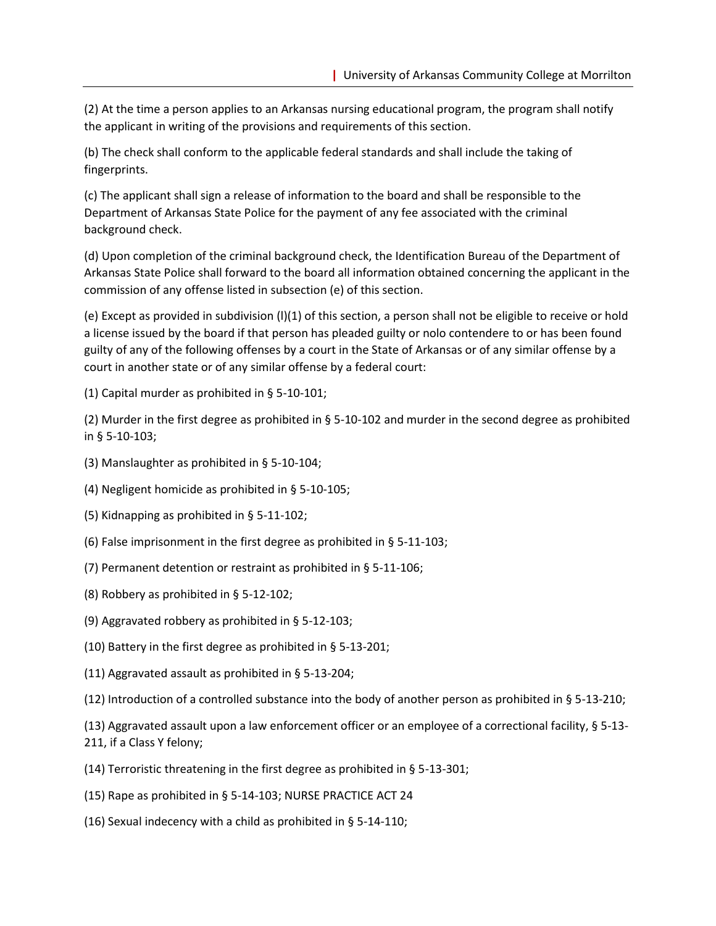(2) At the time a person applies to an Arkansas nursing educational program, the program shall notify the applicant in writing of the provisions and requirements of this section.

(b) The check shall conform to the applicable federal standards and shall include the taking of fingerprints.

(c) The applicant shall sign a release of information to the board and shall be responsible to the Department of Arkansas State Police for the payment of any fee associated with the criminal background check.

(d) Upon completion of the criminal background check, the Identification Bureau of the Department of Arkansas State Police shall forward to the board all information obtained concerning the applicant in the commission of any offense listed in subsection (e) of this section.

(e) Except as provided in subdivision (l)(1) of this section, a person shall not be eligible to receive or hold a license issued by the board if that person has pleaded guilty or nolo contendere to or has been found guilty of any of the following offenses by a court in the State of Arkansas or of any similar offense by a court in another state or of any similar offense by a federal court:

(1) Capital murder as prohibited in § 5-10-101;

(2) Murder in the first degree as prohibited in § 5-10-102 and murder in the second degree as prohibited in § 5-10-103;

- (3) Manslaughter as prohibited in § 5-10-104;
- (4) Negligent homicide as prohibited in § 5-10-105;
- (5) Kidnapping as prohibited in § 5-11-102;
- (6) False imprisonment in the first degree as prohibited in § 5-11-103;
- (7) Permanent detention or restraint as prohibited in § 5-11-106;
- (8) Robbery as prohibited in § 5-12-102;
- (9) Aggravated robbery as prohibited in § 5-12-103;
- (10) Battery in the first degree as prohibited in § 5-13-201;
- (11) Aggravated assault as prohibited in § 5-13-204;
- (12) Introduction of a controlled substance into the body of another person as prohibited in § 5-13-210;

(13) Aggravated assault upon a law enforcement officer or an employee of a correctional facility, § 5-13- 211, if a Class Y felony;

- (14) Terroristic threatening in the first degree as prohibited in § 5-13-301;
- (15) Rape as prohibited in § 5-14-103; NURSE PRACTICE ACT 24
- (16) Sexual indecency with a child as prohibited in § 5-14-110;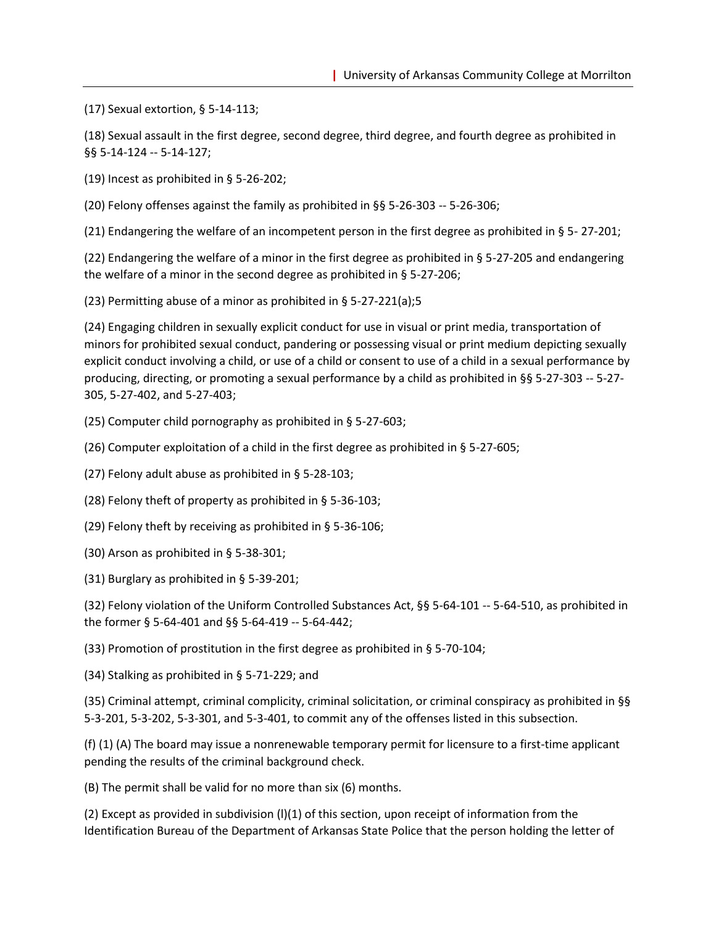(17) Sexual extortion, § 5-14-113;

(18) Sexual assault in the first degree, second degree, third degree, and fourth degree as prohibited in §§ 5-14-124 -- 5-14-127;

(19) Incest as prohibited in § 5-26-202;

(20) Felony offenses against the family as prohibited in §§ 5-26-303 -- 5-26-306;

(21) Endangering the welfare of an incompetent person in the first degree as prohibited in § 5- 27-201;

(22) Endangering the welfare of a minor in the first degree as prohibited in § 5-27-205 and endangering the welfare of a minor in the second degree as prohibited in § 5-27-206;

(23) Permitting abuse of a minor as prohibited in § 5-27-221(a);5

(24) Engaging children in sexually explicit conduct for use in visual or print media, transportation of minors for prohibited sexual conduct, pandering or possessing visual or print medium depicting sexually explicit conduct involving a child, or use of a child or consent to use of a child in a sexual performance by producing, directing, or promoting a sexual performance by a child as prohibited in §§ 5-27-303 -- 5-27- 305, 5-27-402, and 5-27-403;

(25) Computer child pornography as prohibited in § 5-27-603;

(26) Computer exploitation of a child in the first degree as prohibited in § 5-27-605;

(27) Felony adult abuse as prohibited in § 5-28-103;

(28) Felony theft of property as prohibited in § 5-36-103;

(29) Felony theft by receiving as prohibited in § 5-36-106;

(30) Arson as prohibited in § 5-38-301;

(31) Burglary as prohibited in § 5-39-201;

(32) Felony violation of the Uniform Controlled Substances Act, §§ 5-64-101 -- 5-64-510, as prohibited in the former § 5-64-401 and §§ 5-64-419 -- 5-64-442;

(33) Promotion of prostitution in the first degree as prohibited in § 5-70-104;

(34) Stalking as prohibited in § 5-71-229; and

(35) Criminal attempt, criminal complicity, criminal solicitation, or criminal conspiracy as prohibited in §§ 5-3-201, 5-3-202, 5-3-301, and 5-3-401, to commit any of the offenses listed in this subsection.

(f) (1) (A) The board may issue a nonrenewable temporary permit for licensure to a first-time applicant pending the results of the criminal background check.

(B) The permit shall be valid for no more than six (6) months.

(2) Except as provided in subdivision (l)(1) of this section, upon receipt of information from the Identification Bureau of the Department of Arkansas State Police that the person holding the letter of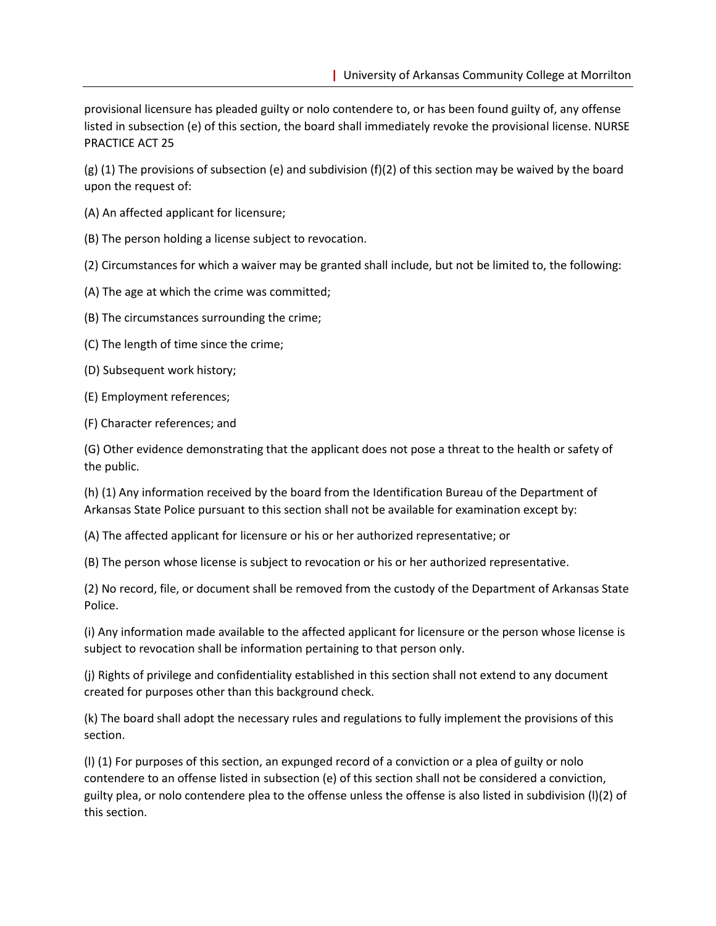provisional licensure has pleaded guilty or nolo contendere to, or has been found guilty of, any offense listed in subsection (e) of this section, the board shall immediately revoke the provisional license. NURSE PRACTICE ACT 25

(g) (1) The provisions of subsection (e) and subdivision (f)(2) of this section may be waived by the board upon the request of:

(A) An affected applicant for licensure;

(B) The person holding a license subject to revocation.

(2) Circumstances for which a waiver may be granted shall include, but not be limited to, the following:

(A) The age at which the crime was committed;

(B) The circumstances surrounding the crime;

(C) The length of time since the crime;

(D) Subsequent work history;

(E) Employment references;

(F) Character references; and

(G) Other evidence demonstrating that the applicant does not pose a threat to the health or safety of the public.

(h) (1) Any information received by the board from the Identification Bureau of the Department of Arkansas State Police pursuant to this section shall not be available for examination except by:

(A) The affected applicant for licensure or his or her authorized representative; or

(B) The person whose license is subject to revocation or his or her authorized representative.

(2) No record, file, or document shall be removed from the custody of the Department of Arkansas State Police.

(i) Any information made available to the affected applicant for licensure or the person whose license is subject to revocation shall be information pertaining to that person only.

(j) Rights of privilege and confidentiality established in this section shall not extend to any document created for purposes other than this background check.

(k) The board shall adopt the necessary rules and regulations to fully implement the provisions of this section.

(l) (1) For purposes of this section, an expunged record of a conviction or a plea of guilty or nolo contendere to an offense listed in subsection (e) of this section shall not be considered a conviction, guilty plea, or nolo contendere plea to the offense unless the offense is also listed in subdivision (l)(2) of this section.